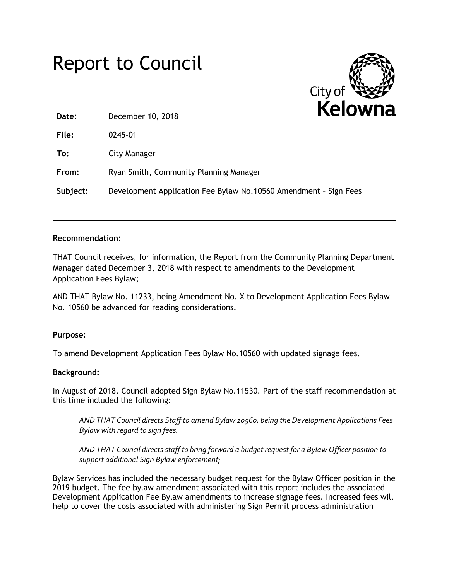# Report to Council



**Date:** December 10, 2018

**File:** 0245-01

**To:** City Manager

**From:** Ryan Smith, Community Planning Manager

**Subject:** Development Application Fee Bylaw No.10560 Amendment – Sign Fees

# **Recommendation:**

THAT Council receives, for information, the Report from the Community Planning Department Manager dated December 3, 2018 with respect to amendments to the Development Application Fees Bylaw;

AND THAT Bylaw No. 11233, being Amendment No. X to Development Application Fees Bylaw No. 10560 be advanced for reading considerations.

# **Purpose:**

To amend Development Application Fees Bylaw No.10560 with updated signage fees.

# **Background:**

In August of 2018, Council adopted Sign Bylaw No.11530. Part of the staff recommendation at this time included the following:

*AND THAT Council directs Staff to amend Bylaw 10560, being the Development Applications Fees Bylaw with regard to sign fees.*

*AND THAT Council directs staff to bring forward a budget request for a Bylaw Officer position to support additional Sign Bylaw enforcement;*

Bylaw Services has included the necessary budget request for the Bylaw Officer position in the 2019 budget. The fee bylaw amendment associated with this report includes the associated Development Application Fee Bylaw amendments to increase signage fees. Increased fees will help to cover the costs associated with administering Sign Permit process administration